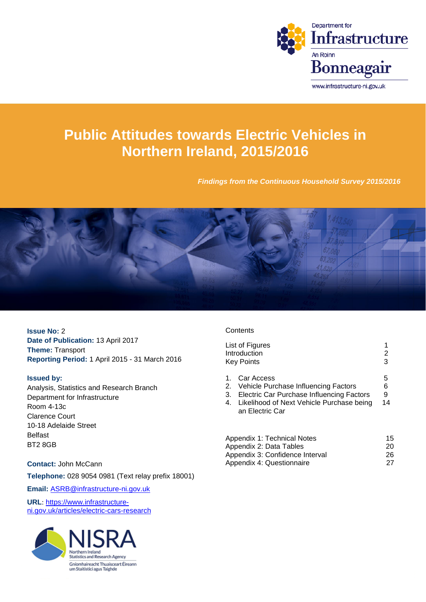

# **Public Attitudes towards Electric Vehicles in Northern Ireland, 2015/2016**

*Findings from the Continuous Household Survey 2015/2016*



**Issue No:** 2 **Date of Publication:** 13 April 2017 **Theme:** Transport **Reporting Period:** 1 April 2015 - 31 March 2016

#### **Issued by:**

Analysis, Statistics and Research Branch Department for Infrastructure Room 4-13c Clarence Court 10-18 Adelaide Street Belfast BT2 8GB

#### **Contact:** John McCann

**Telephone:** 028 9054 0981 (Text relay prefix 18001)

**Email:** [ASRB@infrastructure-ni.gov.uk](mailto:ASRB@infrastructure-ni.gov.uk)

**URL**: [https://www.infrastructure](https://www.infrastructure-ni.gov.uk/articles/electric-cars-research)[ni.gov.uk/articles/electric-cars-research](https://www.infrastructure-ni.gov.uk/articles/electric-cars-research)



#### **Contents**

|                                  | List of Figures<br>Introduction<br><b>Key Points</b>                                                                                                            | 2<br>3            |
|----------------------------------|-----------------------------------------------------------------------------------------------------------------------------------------------------------------|-------------------|
| $\mathbf{1}$ .<br>2.<br>3.<br>4. | Car Access<br>Vehicle Purchase Influencing Factors<br>Electric Car Purchase Influencing Factors<br>Likelihood of Next Vehicle Purchase being<br>an Electric Car | 5<br>6<br>9<br>14 |
|                                  |                                                                                                                                                                 |                   |

| 15 |
|----|
| 20 |
| 26 |
| 27 |
|    |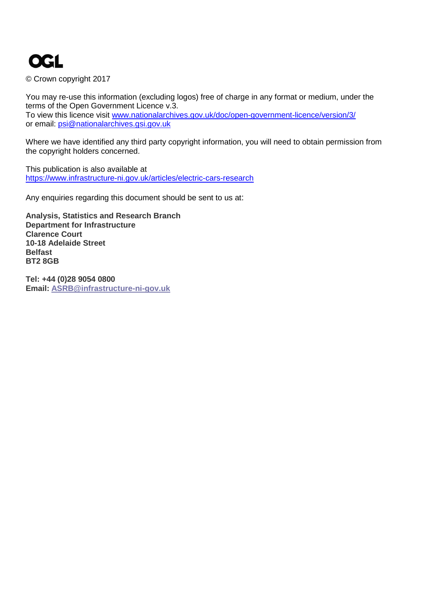# **OGL**

© Crown copyright 2017

You may re-use this information (excluding logos) free of charge in any format or medium, under the terms of the Open Government Licence v.3. To view this licence visit [www.nationalarchives.gov.uk/doc/open-government-licence/version/3/](http://www.nationalarchives.gov.uk/doc/open-government-licence/version/3/) or email: [psi@nationalarchives.gsi.gov.uk](mailto:psi@nationalarchives.gsi.gov.uk)

Where we have identified any third party copyright information, you will need to obtain permission from the copyright holders concerned.

This publication is also available at <https://www.infrastructure-ni.gov.uk/articles/electric-cars-research>

Any enquiries regarding this document should be sent to us at:

**Analysis, Statistics and Research Branch Department for Infrastructure Clarence Court 10-18 Adelaide Street Belfast BT2 8GB**

**Tel: +44 (0)28 9054 0800 Email: [ASRB@infrastructure-ni-gov.uk](mailto:CSRB@infrastructure-ni.gov.uk)**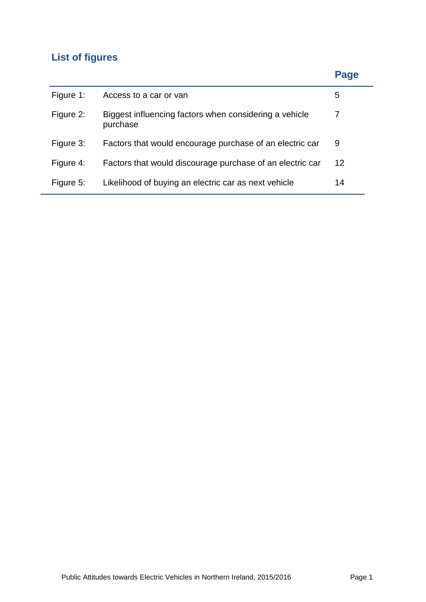# **List of figures**

# **Page**

| Figure 1: | Access to a car or van                                             | 5  |
|-----------|--------------------------------------------------------------------|----|
| Figure 2: | Biggest influencing factors when considering a vehicle<br>purchase |    |
| Figure 3: | Factors that would encourage purchase of an electric car           | 9  |
| Figure 4: | Factors that would discourage purchase of an electric car          | 12 |
| Figure 5: | Likelihood of buying an electric car as next vehicle               | 14 |
|           |                                                                    |    |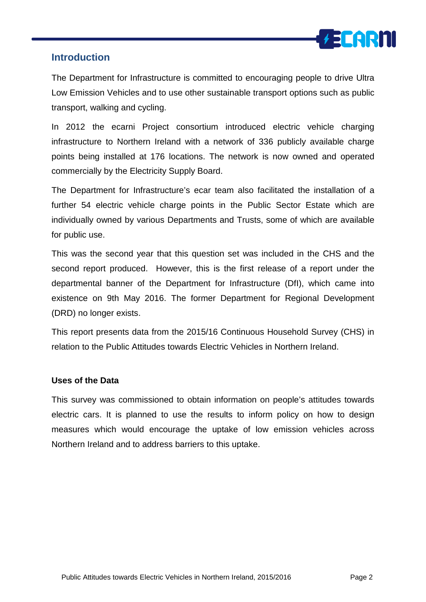

### **Introduction**

The Department for Infrastructure is committed to encouraging people to drive Ultra Low Emission Vehicles and to use other sustainable transport options such as public transport, walking and cycling.

In 2012 the ecarni Project consortium introduced electric vehicle charging infrastructure to Northern Ireland with a network of 336 publicly available charge points being installed at 176 locations. The network is now owned and operated commercially by the Electricity Supply Board.

The Department for Infrastructure's ecar team also facilitated the installation of a further 54 electric vehicle charge points in the Public Sector Estate which are individually owned by various Departments and Trusts, some of which are available for public use.

This was the second year that this question set was included in the CHS and the second report produced. However, this is the first release of a report under the departmental banner of the Department for Infrastructure (DfI), which came into existence on 9th May 2016. The former Department for Regional Development (DRD) no longer exists.

This report presents data from the 2015/16 Continuous Household Survey (CHS) in relation to the Public Attitudes towards Electric Vehicles in Northern Ireland.

#### **Uses of the Data**

This survey was commissioned to obtain information on people's attitudes towards electric cars. It is planned to use the results to inform policy on how to design measures which would encourage the uptake of low emission vehicles across Northern Ireland and to address barriers to this uptake.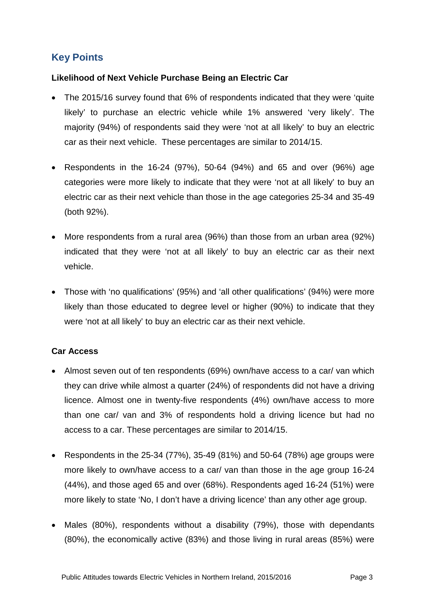# **Key Points**

#### **Likelihood of Next Vehicle Purchase Being an Electric Car**

- The 2015/16 survey found that 6% of respondents indicated that they were 'quite likely' to purchase an electric vehicle while 1% answered 'very likely'. The majority (94%) of respondents said they were 'not at all likely' to buy an electric car as their next vehicle. These percentages are similar to 2014/15.
- Respondents in the 16-24 (97%), 50-64 (94%) and 65 and over (96%) age categories were more likely to indicate that they were 'not at all likely' to buy an electric car as their next vehicle than those in the age categories 25-34 and 35-49 (both 92%).
- More respondents from a rural area (96%) than those from an urban area (92%) indicated that they were 'not at all likely' to buy an electric car as their next vehicle.
- Those with 'no qualifications' (95%) and 'all other qualifications' (94%) were more likely than those educated to degree level or higher (90%) to indicate that they were 'not at all likely' to buy an electric car as their next vehicle.

#### **Car Access**

- Almost seven out of ten respondents (69%) own/have access to a car/ van which they can drive while almost a quarter (24%) of respondents did not have a driving licence. Almost one in twenty-five respondents (4%) own/have access to more than one car/ van and 3% of respondents hold a driving licence but had no access to a car. These percentages are similar to 2014/15.
- Respondents in the 25-34 (77%), 35-49 (81%) and 50-64 (78%) age groups were more likely to own/have access to a car/ van than those in the age group 16-24 (44%), and those aged 65 and over (68%). Respondents aged 16-24 (51%) were more likely to state 'No, I don't have a driving licence' than any other age group.
- Males (80%), respondents without a disability (79%), those with dependants (80%), the economically active (83%) and those living in rural areas (85%) were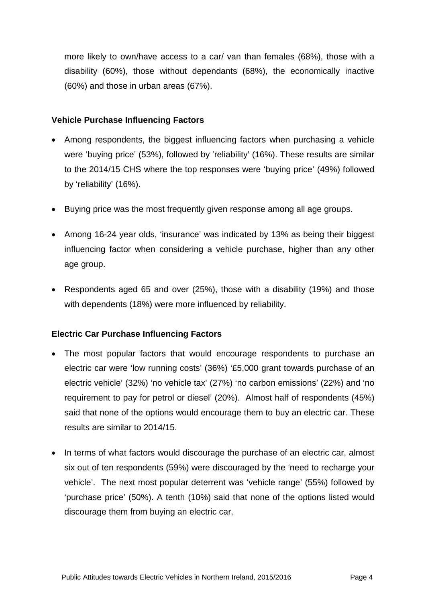more likely to own/have access to a car/ van than females (68%), those with a disability (60%), those without dependants (68%), the economically inactive (60%) and those in urban areas (67%).

#### **Vehicle Purchase Influencing Factors**

- Among respondents, the biggest influencing factors when purchasing a vehicle were 'buying price' (53%), followed by 'reliability' (16%). These results are similar to the 2014/15 CHS where the top responses were 'buying price' (49%) followed by 'reliability' (16%).
- Buying price was the most frequently given response among all age groups.
- Among 16-24 year olds, 'insurance' was indicated by 13% as being their biggest influencing factor when considering a vehicle purchase, higher than any other age group.
- Respondents aged 65 and over (25%), those with a disability (19%) and those with dependents (18%) were more influenced by reliability.

#### **Electric Car Purchase Influencing Factors**

- The most popular factors that would encourage respondents to purchase an electric car were 'low running costs' (36%) '£5,000 grant towards purchase of an electric vehicle' (32%) 'no vehicle tax' (27%) 'no carbon emissions' (22%) and 'no requirement to pay for petrol or diesel' (20%). Almost half of respondents (45%) said that none of the options would encourage them to buy an electric car. These results are similar to 2014/15.
- In terms of what factors would discourage the purchase of an electric car, almost six out of ten respondents (59%) were discouraged by the 'need to recharge your vehicle'. The next most popular deterrent was 'vehicle range' (55%) followed by 'purchase price' (50%). A tenth (10%) said that none of the options listed would discourage them from buying an electric car.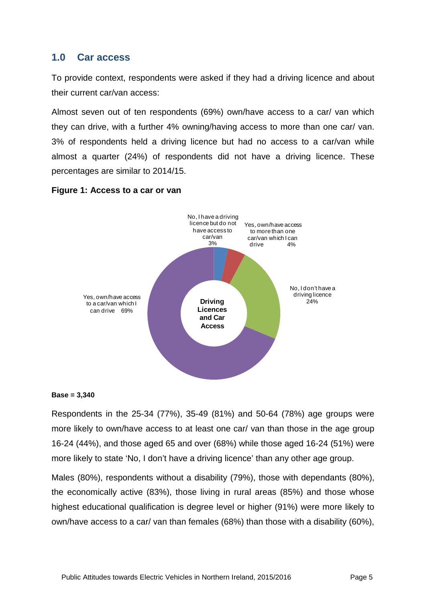#### **1.0 Car access**

To provide context, respondents were asked if they had a driving licence and about their current car/van access:

Almost seven out of ten respondents (69%) own/have access to a car/ van which they can drive, with a further 4% owning/having access to more than one car/ van. 3% of respondents held a driving licence but had no access to a car/van while almost a quarter (24%) of respondents did not have a driving licence. These percentages are similar to 2014/15.



#### **Figure 1: Access to a car or van**

#### **Base = 3,340**

Respondents in the 25-34 (77%), 35-49 (81%) and 50-64 (78%) age groups were more likely to own/have access to at least one car/ van than those in the age group 16-24 (44%), and those aged 65 and over (68%) while those aged 16-24 (51%) were more likely to state 'No, I don't have a driving licence' than any other age group.

Males (80%), respondents without a disability (79%), those with dependants (80%), the economically active (83%), those living in rural areas (85%) and those whose highest educational qualification is degree level or higher (91%) were more likely to own/have access to a car/ van than females (68%) than those with a disability (60%),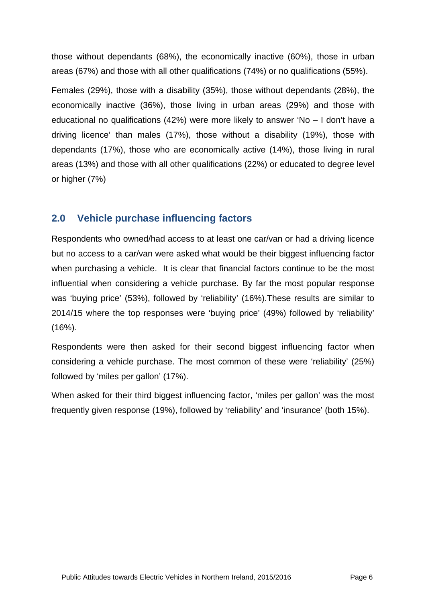those without dependants (68%), the economically inactive (60%), those in urban areas (67%) and those with all other qualifications (74%) or no qualifications (55%).

Females (29%), those with a disability (35%), those without dependants (28%), the economically inactive (36%), those living in urban areas (29%) and those with educational no qualifications (42%) were more likely to answer 'No – I don't have a driving licence' than males (17%), those without a disability (19%), those with dependants (17%), those who are economically active (14%), those living in rural areas (13%) and those with all other qualifications (22%) or educated to degree level or higher (7%)

# **2.0 Vehicle purchase influencing factors**

Respondents who owned/had access to at least one car/van or had a driving licence but no access to a car/van were asked what would be their biggest influencing factor when purchasing a vehicle. It is clear that financial factors continue to be the most influential when considering a vehicle purchase. By far the most popular response was 'buying price' (53%), followed by 'reliability' (16%).These results are similar to 2014/15 where the top responses were 'buying price' (49%) followed by 'reliability' (16%).

Respondents were then asked for their second biggest influencing factor when considering a vehicle purchase. The most common of these were 'reliability' (25%) followed by 'miles per gallon' (17%).

When asked for their third biggest influencing factor, 'miles per gallon' was the most frequently given response (19%), followed by 'reliability' and 'insurance' (both 15%).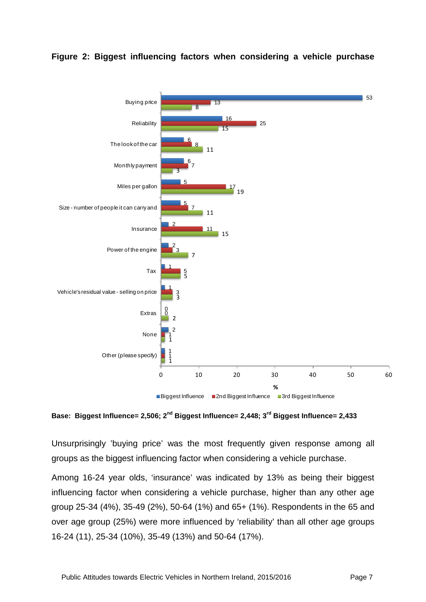![](_page_8_Figure_0.jpeg)

#### **Figure 2: Biggest influencing factors when considering a vehicle purchase**

**Base: Biggest Influence= 2,506; 2nd Biggest Influence= 2,448; 3rd Biggest Influence= 2,433**

Unsurprisingly 'buying price' was the most frequently given response among all groups as the biggest influencing factor when considering a vehicle purchase.

Among 16-24 year olds, 'insurance' was indicated by 13% as being their biggest influencing factor when considering a vehicle purchase, higher than any other age group 25-34 (4%), 35-49 (2%), 50-64 (1%) and 65+ (1%). Respondents in the 65 and over age group (25%) were more influenced by 'reliability' than all other age groups 16-24 (11), 25-34 (10%), 35-49 (13%) and 50-64 (17%).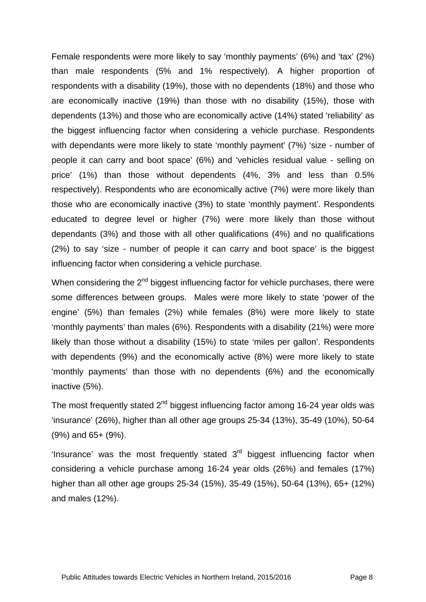Female respondents were more likely to say 'monthly payments' (6%) and 'tax' (2%) than male respondents (5% and 1% respectively). A higher proportion of respondents with a disability (19%), those with no dependents (18%) and those who are economically inactive (19%) than those with no disability (15%), those with dependents (13%) and those who are economically active (14%) stated 'reliability' as the biggest influencing factor when considering a vehicle purchase. Respondents with dependants were more likely to state 'monthly payment' (7%) 'size - number of people it can carry and boot space' (6%) and 'vehicles residual value - selling on price' (1%) than those without dependents (4%, 3% and less than 0.5% respectively). Respondents who are economically active (7%) were more likely than those who are economically inactive (3%) to state 'monthly payment'. Respondents educated to degree level or higher (7%) were more likely than those without dependants (3%) and those with all other qualifications (4%) and no qualifications (2%) to say 'size - number of people it can carry and boot space' is the biggest influencing factor when considering a vehicle purchase.

When considering the  $2^{nd}$  biggest influencing factor for vehicle purchases, there were some differences between groups. Males were more likely to state 'power of the engine' (5%) than females (2%) while females (8%) were more likely to state 'monthly payments' than males (6%). Respondents with a disability (21%) were more likely than those without a disability (15%) to state 'miles per gallon'. Respondents with dependents (9%) and the economically active (8%) were more likely to state 'monthly payments' than those with no dependents (6%) and the economically inactive (5%).

The most frequently stated  $2<sup>nd</sup>$  biggest influencing factor among 16-24 year olds was 'insurance' (26%), higher than all other age groups 25-34 (13%), 35-49 (10%), 50-64 (9%) and 65+ (9%).

'Insurance' was the most frequently stated  $3<sup>rd</sup>$  biggest influencing factor when considering a vehicle purchase among 16-24 year olds (26%) and females (17%) higher than all other age groups 25-34 (15%), 35-49 (15%), 50-64 (13%), 65+ (12%) and males (12%).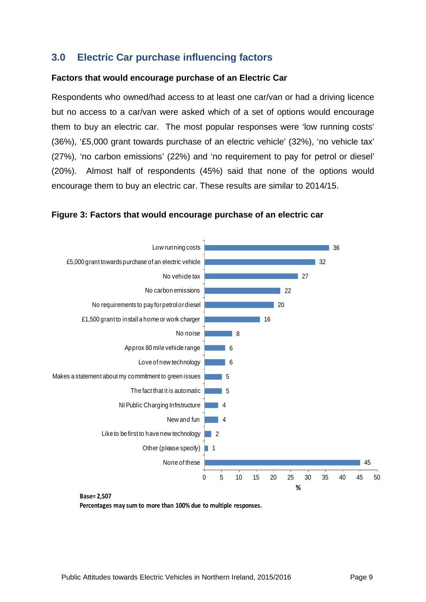# **3.0 Electric Car purchase influencing factors**

#### **Factors that would encourage purchase of an Electric Car**

Respondents who owned/had access to at least one car/van or had a driving licence but no access to a car/van were asked which of a set of options would encourage them to buy an electric car. The most popular responses were 'low running costs' (36%), '£5,000 grant towards purchase of an electric vehicle' (32%), 'no vehicle tax' (27%), 'no carbon emissions' (22%) and 'no requirement to pay for petrol or diesel' (20%). Almost half of respondents (45%) said that none of the options would encourage them to buy an electric car. These results are similar to 2014/15.

![](_page_10_Figure_3.jpeg)

![](_page_10_Figure_4.jpeg)

**Base= 2,507**

**Percentages may sum to more than 100% due to multiple responses.**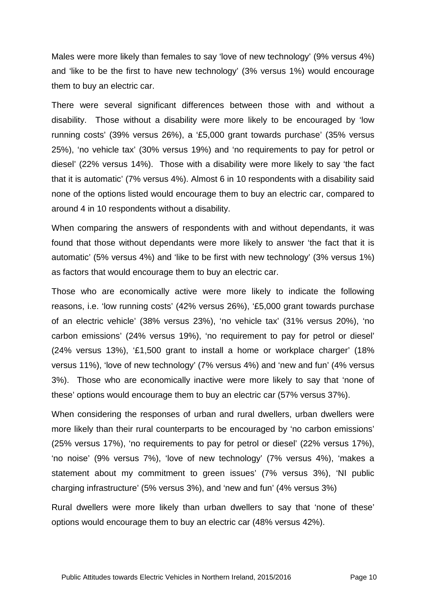Males were more likely than females to say 'love of new technology' (9% versus 4%) and 'like to be the first to have new technology' (3% versus 1%) would encourage them to buy an electric car.

There were several significant differences between those with and without a disability. Those without a disability were more likely to be encouraged by 'low running costs' (39% versus 26%), a '£5,000 grant towards purchase' (35% versus 25%), 'no vehicle tax' (30% versus 19%) and 'no requirements to pay for petrol or diesel' (22% versus 14%). Those with a disability were more likely to say 'the fact that it is automatic' (7% versus 4%). Almost 6 in 10 respondents with a disability said none of the options listed would encourage them to buy an electric car, compared to around 4 in 10 respondents without a disability.

When comparing the answers of respondents with and without dependants, it was found that those without dependants were more likely to answer 'the fact that it is automatic' (5% versus 4%) and 'like to be first with new technology' (3% versus 1%) as factors that would encourage them to buy an electric car.

Those who are economically active were more likely to indicate the following reasons, i.e. 'low running costs' (42% versus 26%), '£5,000 grant towards purchase of an electric vehicle' (38% versus 23%), 'no vehicle tax' (31% versus 20%), 'no carbon emissions' (24% versus 19%), 'no requirement to pay for petrol or diesel' (24% versus 13%), '£1,500 grant to install a home or workplace charger' (18% versus 11%), 'love of new technology' (7% versus 4%) and 'new and fun' (4% versus 3%). Those who are economically inactive were more likely to say that 'none of these' options would encourage them to buy an electric car (57% versus 37%).

When considering the responses of urban and rural dwellers, urban dwellers were more likely than their rural counterparts to be encouraged by 'no carbon emissions' (25% versus 17%), 'no requirements to pay for petrol or diesel' (22% versus 17%), 'no noise' (9% versus 7%), 'love of new technology' (7% versus 4%), 'makes a statement about my commitment to green issues' (7% versus 3%), 'NI public charging infrastructure' (5% versus 3%), and 'new and fun' (4% versus 3%)

Rural dwellers were more likely than urban dwellers to say that 'none of these' options would encourage them to buy an electric car (48% versus 42%).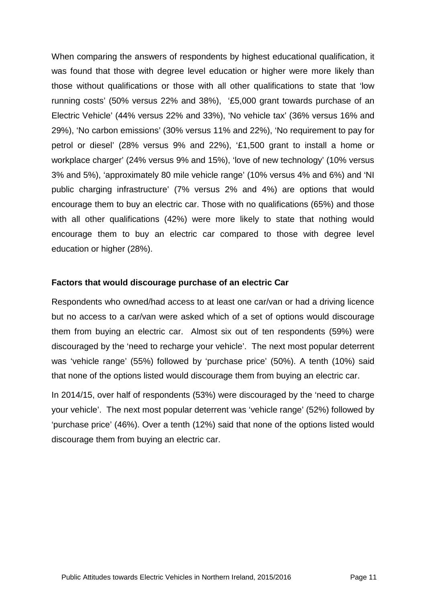When comparing the answers of respondents by highest educational qualification, it was found that those with degree level education or higher were more likely than those without qualifications or those with all other qualifications to state that 'low running costs' (50% versus 22% and 38%), '£5,000 grant towards purchase of an Electric Vehicle' (44% versus 22% and 33%), 'No vehicle tax' (36% versus 16% and 29%), 'No carbon emissions' (30% versus 11% and 22%), 'No requirement to pay for petrol or diesel' (28% versus 9% and 22%), '£1,500 grant to install a home or workplace charger' (24% versus 9% and 15%), 'love of new technology' (10% versus 3% and 5%), 'approximately 80 mile vehicle range' (10% versus 4% and 6%) and 'NI public charging infrastructure' (7% versus 2% and 4%) are options that would encourage them to buy an electric car. Those with no qualifications (65%) and those with all other qualifications (42%) were more likely to state that nothing would encourage them to buy an electric car compared to those with degree level education or higher (28%).

#### **Factors that would discourage purchase of an electric Car**

Respondents who owned/had access to at least one car/van or had a driving licence but no access to a car/van were asked which of a set of options would discourage them from buying an electric car. Almost six out of ten respondents (59%) were discouraged by the 'need to recharge your vehicle'. The next most popular deterrent was 'vehicle range' (55%) followed by 'purchase price' (50%). A tenth (10%) said that none of the options listed would discourage them from buying an electric car.

In 2014/15, over half of respondents (53%) were discouraged by the 'need to charge your vehicle'. The next most popular deterrent was 'vehicle range' (52%) followed by 'purchase price' (46%). Over a tenth (12%) said that none of the options listed would discourage them from buying an electric car.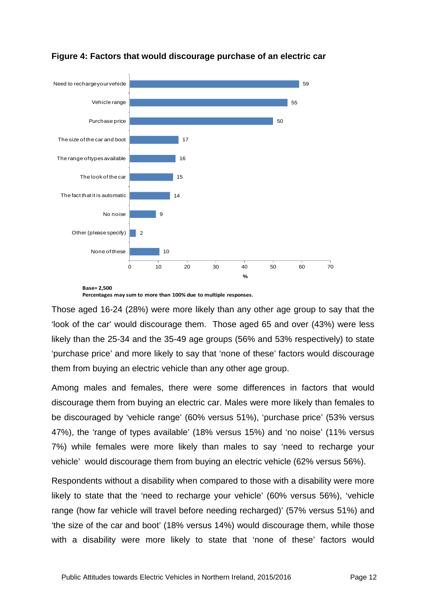![](_page_13_Figure_0.jpeg)

#### **Figure 4: Factors that would discourage purchase of an electric car**

**Percentages may sum to more than 100% due to multiple responses.**

Those aged 16-24 (28%) were more likely than any other age group to say that the 'look of the car' would discourage them. Those aged 65 and over (43%) were less likely than the 25-34 and the 35-49 age groups (56% and 53% respectively) to state 'purchase price' and more likely to say that 'none of these' factors would discourage them from buying an electric vehicle than any other age group.

Among males and females, there were some differences in factors that would discourage them from buying an electric car. Males were more likely than females to be discouraged by 'vehicle range' (60% versus 51%), 'purchase price' (53% versus 47%), the 'range of types available' (18% versus 15%) and 'no noise' (11% versus 7%) while females were more likely than males to say 'need to recharge your vehicle' would discourage them from buying an electric vehicle (62% versus 56%).

Respondents without a disability when compared to those with a disability were more likely to state that the 'need to recharge your vehicle' (60% versus 56%), 'vehicle range (how far vehicle will travel before needing recharged)' (57% versus 51%) and 'the size of the car and boot' (18% versus 14%) would discourage them, while those with a disability were more likely to state that 'none of these' factors would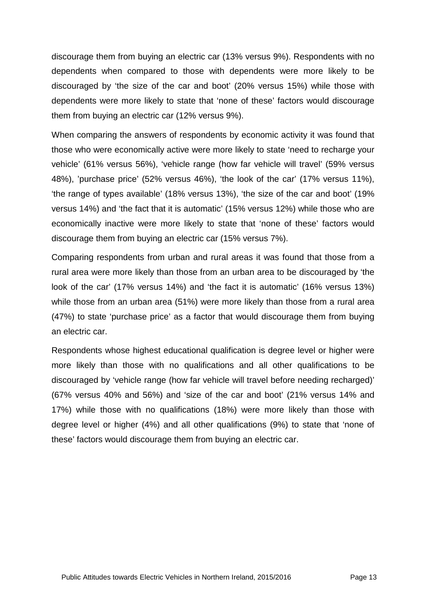discourage them from buying an electric car (13% versus 9%). Respondents with no dependents when compared to those with dependents were more likely to be discouraged by 'the size of the car and boot' (20% versus 15%) while those with dependents were more likely to state that 'none of these' factors would discourage them from buying an electric car (12% versus 9%).

When comparing the answers of respondents by economic activity it was found that those who were economically active were more likely to state 'need to recharge your vehicle' (61% versus 56%), 'vehicle range (how far vehicle will travel' (59% versus 48%), 'purchase price' (52% versus 46%), 'the look of the car' (17% versus 11%), 'the range of types available' (18% versus 13%), 'the size of the car and boot' (19% versus 14%) and 'the fact that it is automatic' (15% versus 12%) while those who are economically inactive were more likely to state that 'none of these' factors would discourage them from buying an electric car (15% versus 7%).

Comparing respondents from urban and rural areas it was found that those from a rural area were more likely than those from an urban area to be discouraged by 'the look of the car' (17% versus 14%) and 'the fact it is automatic' (16% versus 13%) while those from an urban area (51%) were more likely than those from a rural area (47%) to state 'purchase price' as a factor that would discourage them from buying an electric car.

Respondents whose highest educational qualification is degree level or higher were more likely than those with no qualifications and all other qualifications to be discouraged by 'vehicle range (how far vehicle will travel before needing recharged)' (67% versus 40% and 56%) and 'size of the car and boot' (21% versus 14% and 17%) while those with no qualifications (18%) were more likely than those with degree level or higher (4%) and all other qualifications (9%) to state that 'none of these' factors would discourage them from buying an electric car.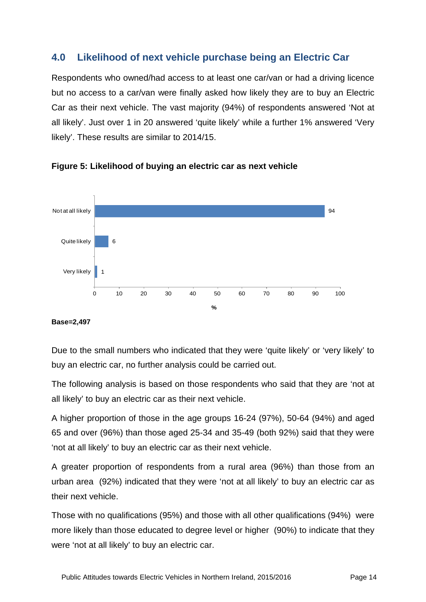# **4.0 Likelihood of next vehicle purchase being an Electric Car**

Respondents who owned/had access to at least one car/van or had a driving licence but no access to a car/van were finally asked how likely they are to buy an Electric Car as their next vehicle. The vast majority (94%) of respondents answered 'Not at all likely'. Just over 1 in 20 answered 'quite likely' while a further 1% answered 'Very likely'. These results are similar to 2014/15.

![](_page_15_Figure_2.jpeg)

![](_page_15_Figure_3.jpeg)

#### **Base=2,497**

Due to the small numbers who indicated that they were 'quite likely' or 'very likely' to buy an electric car, no further analysis could be carried out.

The following analysis is based on those respondents who said that they are 'not at all likely' to buy an electric car as their next vehicle.

A higher proportion of those in the age groups 16-24 (97%), 50-64 (94%) and aged 65 and over (96%) than those aged 25-34 and 35-49 (both 92%) said that they were 'not at all likely' to buy an electric car as their next vehicle.

A greater proportion of respondents from a rural area (96%) than those from an urban area (92%) indicated that they were 'not at all likely' to buy an electric car as their next vehicle.

Those with no qualifications (95%) and those with all other qualifications (94%) were more likely than those educated to degree level or higher (90%) to indicate that they were 'not at all likely' to buy an electric car.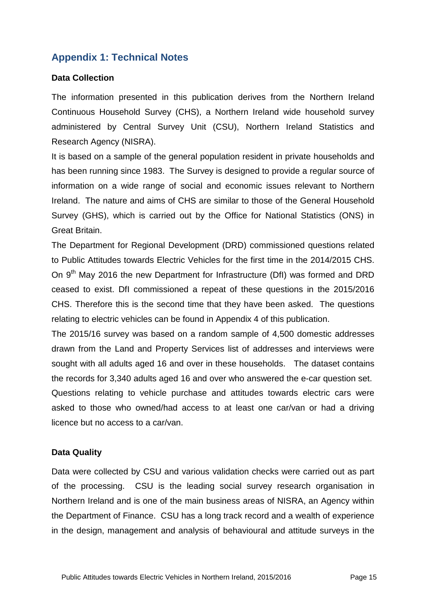# **Appendix 1: Technical Notes**

#### **Data Collection**

The information presented in this publication derives from the Northern Ireland Continuous Household Survey (CHS), a Northern Ireland wide household survey administered by Central Survey Unit (CSU), Northern Ireland Statistics and Research Agency (NISRA).

It is based on a sample of the general population resident in private households and has been running since 1983. The Survey is designed to provide a regular source of information on a wide range of social and economic issues relevant to Northern Ireland. The nature and aims of CHS are similar to those of the General Household Survey (GHS), which is carried out by the Office for National Statistics (ONS) in Great Britain.

The Department for Regional Development (DRD) commissioned questions related to Public Attitudes towards Electric Vehicles for the first time in the 2014/2015 CHS. On 9<sup>th</sup> May 2016 the new Department for Infrastructure (DfI) was formed and DRD ceased to exist. DfI commissioned a repeat of these questions in the 2015/2016 CHS. Therefore this is the second time that they have been asked. The questions relating to electric vehicles can be found in Appendix 4 of this publication.

The 2015/16 survey was based on a random sample of 4,500 domestic addresses drawn from the Land and Property Services list of addresses and interviews were sought with all adults aged 16 and over in these households. The dataset contains the records for 3,340 adults aged 16 and over who answered the e-car question set. Questions relating to vehicle purchase and attitudes towards electric cars were asked to those who owned/had access to at least one car/van or had a driving licence but no access to a car/van.

#### **Data Quality**

Data were collected by CSU and various validation checks were carried out as part of the processing. CSU is the leading social survey research organisation in Northern Ireland and is one of the main business areas of NISRA, an Agency within the Department of Finance. CSU has a long track record and a wealth of experience in the design, management and analysis of behavioural and attitude surveys in the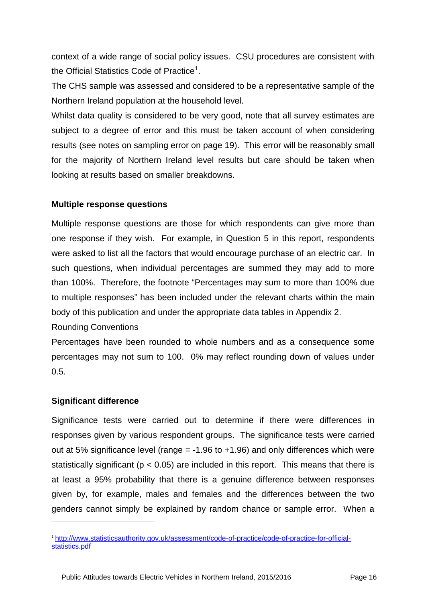context of a wide range of social policy issues. CSU procedures are consistent with the Official Statistics Code of Practice<sup>[1](#page-17-0)</sup>.

The CHS sample was assessed and considered to be a representative sample of the Northern Ireland population at the household level.

Whilst data quality is considered to be very good, note that all survey estimates are subject to a degree of error and this must be taken account of when considering results (see notes on sampling error on page 19). This error will be reasonably small for the majority of Northern Ireland level results but care should be taken when looking at results based on smaller breakdowns.

#### **Multiple response questions**

Multiple response questions are those for which respondents can give more than one response if they wish. For example, in Question 5 in this report, respondents were asked to list all the factors that would encourage purchase of an electric car. In such questions, when individual percentages are summed they may add to more than 100%. Therefore, the footnote "Percentages may sum to more than 100% due to multiple responses" has been included under the relevant charts within the main body of this publication and under the appropriate data tables in Appendix 2.

Rounding Conventions

Percentages have been rounded to whole numbers and as a consequence some percentages may not sum to 100. 0% may reflect rounding down of values under 0.5.

#### **Significant difference**

-

Significance tests were carried out to determine if there were differences in responses given by various respondent groups. The significance tests were carried out at 5% significance level (range  $= -1.96$  to  $+1.96$ ) and only differences which were statistically significant ( $p < 0.05$ ) are included in this report. This means that there is at least a 95% probability that there is a genuine difference between responses given by, for example, males and females and the differences between the two genders cannot simply be explained by random chance or sample error. When a

<span id="page-17-0"></span><sup>1</sup> [http://www.statisticsauthority.gov.uk/assessment/code-of-practice/code-of-practice-for-official](http://www.statisticsauthority.gov.uk/assessment/code-of-practice/code-of-practice-for-official-statistics.pdf)[statistics.pdf](http://www.statisticsauthority.gov.uk/assessment/code-of-practice/code-of-practice-for-official-statistics.pdf)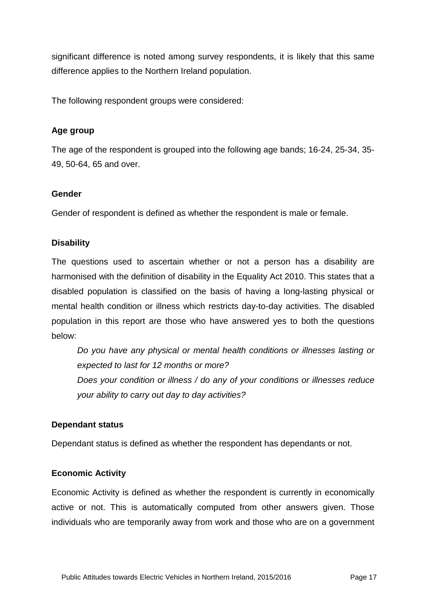significant difference is noted among survey respondents, it is likely that this same difference applies to the Northern Ireland population.

The following respondent groups were considered:

#### **Age group**

The age of the respondent is grouped into the following age bands; 16-24, 25-34, 35- 49, 50-64, 65 and over.

#### **Gender**

Gender of respondent is defined as whether the respondent is male or female.

#### **Disability**

The questions used to ascertain whether or not a person has a disability are harmonised with the definition of disability in the Equality Act 2010. This states that a disabled population is classified on the basis of having a long-lasting physical or mental health condition or illness which restricts day-to-day activities. The disabled population in this report are those who have answered yes to both the questions below:

*Do you have any physical or mental health conditions or illnesses lasting or expected to last for 12 months or more? Does your condition or illness / do any of your conditions or illnesses reduce your ability to carry out day to day activities?* 

#### **Dependant status**

Dependant status is defined as whether the respondent has dependants or not.

#### **Economic Activity**

Economic Activity is defined as whether the respondent is currently in economically active or not. This is automatically computed from other answers given. Those individuals who are temporarily away from work and those who are on a government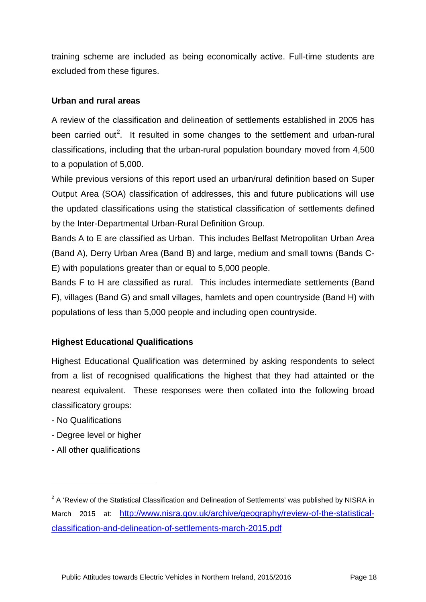training scheme are included as being economically active. Full-time students are excluded from these figures.

#### **Urban and rural areas**

A review of the classification and delineation of settlements established in 2005 has been carried out<sup>[2](#page-19-0)</sup>. It resulted in some changes to the settlement and urban-rural classifications, including that the urban-rural population boundary moved from 4,500 to a population of 5,000.

While previous versions of this report used an urban/rural definition based on Super Output Area (SOA) classification of addresses, this and future publications will use the updated classifications using the statistical classification of settlements defined by the Inter-Departmental Urban-Rural Definition Group.

Bands A to E are classified as Urban. This includes Belfast Metropolitan Urban Area (Band A), Derry Urban Area (Band B) and large, medium and small towns (Bands C-E) with populations greater than or equal to 5,000 people.

Bands F to H are classified as rural. This includes intermediate settlements (Band F), villages (Band G) and small villages, hamlets and open countryside (Band H) with populations of less than 5,000 people and including open countryside.

#### **Highest Educational Qualifications**

Highest Educational Qualification was determined by asking respondents to select from a list of recognised qualifications the highest that they had attainted or the nearest equivalent. These responses were then collated into the following broad classificatory groups:

- No Qualifications

-

- Degree level or higher
- All other qualifications

<span id="page-19-0"></span> $2A$  'Review of the Statistical Classification and Delineation of Settlements' was published by NISRA in March 2015 at: [http://www.nisra.gov.uk/archive/geography/review-of-the-statistical](http://www.nisra.gov.uk/archive/geography/review-of-the-statistical-classification-and-delineation-of-settlements-march-2015.pdf)[classification-and-delineation-of-settlements-march-2015.pdf](http://www.nisra.gov.uk/archive/geography/review-of-the-statistical-classification-and-delineation-of-settlements-march-2015.pdf)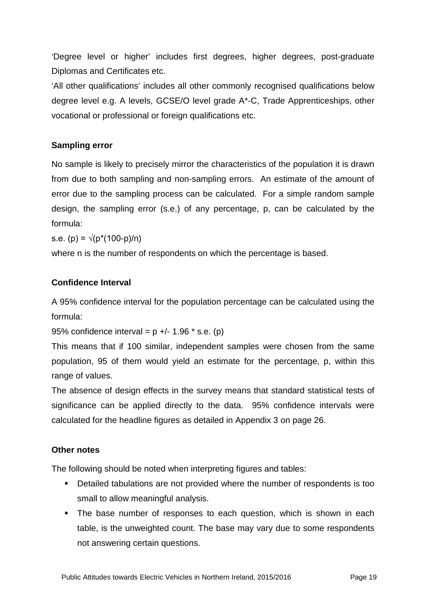'Degree level or higher' includes first degrees, higher degrees, post-graduate Diplomas and Certificates etc.

'All other qualifications' includes all other commonly recognised qualifications below degree level e.g. A levels, GCSE/O level grade A\*-C, Trade Apprenticeships, other vocational or professional or foreign qualifications etc.

#### **Sampling error**

No sample is likely to precisely mirror the characteristics of the population it is drawn from due to both sampling and non-sampling errors. An estimate of the amount of error due to the sampling process can be calculated. For a simple random sample design, the sampling error (s.e.) of any percentage, p, can be calculated by the formula:

s.e. (p) =  $\sqrt{(p^*(100-p)/n)}$ 

where n is the number of respondents on which the percentage is based.

#### **Confidence Interval**

A 95% confidence interval for the population percentage can be calculated using the formula:

95% confidence interval =  $p +/ - 1.96$  \* s.e. (p)

This means that if 100 similar, independent samples were chosen from the same population, 95 of them would yield an estimate for the percentage, p, within this range of values.

The absence of design effects in the survey means that standard statistical tests of significance can be applied directly to the data. 95% confidence intervals were calculated for the headline figures as detailed in Appendix 3 on page 26.

### **Other notes**

The following should be noted when interpreting figures and tables:

- Detailed tabulations are not provided where the number of respondents is too small to allow meaningful analysis.
- The base number of responses to each question, which is shown in each table, is the unweighted count. The base may vary due to some respondents not answering certain questions.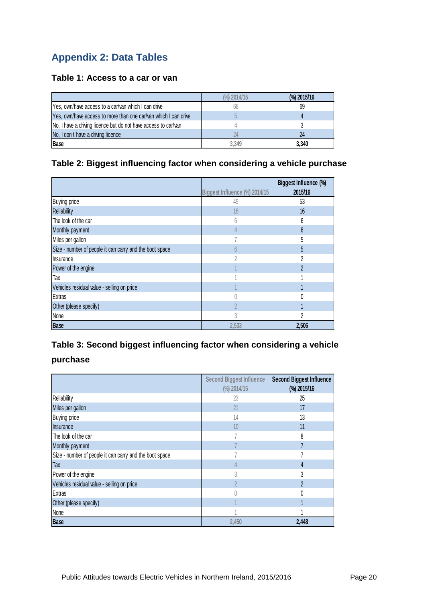# **Appendix 2: Data Tables**

#### **Table 1: Access to a car or van**

|                                                                 | $\frac{(9)}{0}$ 2014/15 | $\frac{(9)}{0}$ 2015/16 |
|-----------------------------------------------------------------|-------------------------|-------------------------|
| Yes, own/have access to a car/van which I can drive             | 68                      | 69                      |
| Yes, own/have access to more than one car/van which I can drive |                         |                         |
| No, I have a driving licence but do not have access to car/van  |                         |                         |
| No, I don t have a driving licence                              |                         | 24                      |
| Base                                                            | 3.349                   | 3,340                   |

#### **Table 2: Biggest influencing factor when considering a vehicle purchase**

|                                                         |                               | Biggest Influence (%) |
|---------------------------------------------------------|-------------------------------|-----------------------|
|                                                         | Biggest Influence (%) 2014/15 | 2015/16               |
| <b>Buying price</b>                                     | 49                            | 53                    |
| Reliability                                             | 16                            | 16                    |
| The look of the car                                     | 6                             | 6                     |
| Monthly payment                                         | $\overline{4}$                | $6\phantom{.}6$       |
| Miles per gallon                                        |                               | 5                     |
| Size - number of people it can carry and the boot space | $6\overline{6}$               | 5                     |
| Insurance                                               |                               | 2                     |
| Power of the engine                                     |                               | $\overline{2}$        |
| Tax                                                     |                               |                       |
| Vehicles residual value - selling on price              |                               |                       |
| Extras                                                  |                               |                       |
| Other (please specify)                                  | $\mathfrak{D}$                |                       |
| None                                                    | 3                             | $\overline{2}$        |
| <b>Base</b>                                             | 2,533                         | 2,506                 |

# **Table 3: Second biggest influencing factor when considering a vehicle**

#### **purchase**

|                                                         | <b>Second Biggest Influence</b> | <b>Second Biggest Influence</b> |
|---------------------------------------------------------|---------------------------------|---------------------------------|
|                                                         | (%) 2014/15                     | (%) 2015/16                     |
| Reliability                                             | 23                              | 25                              |
| Miles per gallon                                        | 21                              | 17                              |
| <b>Buying price</b>                                     | 14                              | 13                              |
| Insurance                                               | 10                              | 11                              |
| The look of the car                                     |                                 | 8                               |
| Monthly payment                                         |                                 | $\overline{7}$                  |
| Size - number of people it can carry and the boot space |                                 |                                 |
| Tax                                                     | 4                               | 4                               |
| Power of the engine                                     | 3                               | 3                               |
| Vehicles residual value - selling on price              | 2                               | $\overline{2}$                  |
| Extras                                                  |                                 | N                               |
| Other (please specify)                                  |                                 |                                 |
| None                                                    |                                 |                                 |
| <b>Base</b>                                             | 2.450                           | 2,448                           |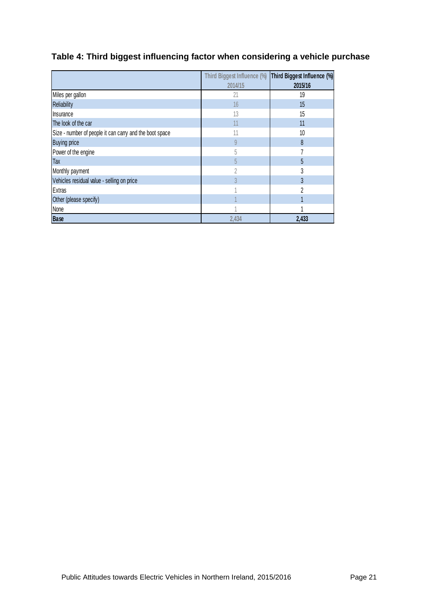# **Table 4: Third biggest influencing factor when considering a vehicle purchase**

|                                                         | Third Biggest Influence (%) | Third Biggest Influence (%) |
|---------------------------------------------------------|-----------------------------|-----------------------------|
|                                                         | 2014/15                     | 2015/16                     |
| Miles per gallon                                        | 21                          | 19                          |
| <b>Reliability</b>                                      | 16                          | 15                          |
| Insurance                                               | 13                          | 15                          |
| The look of the car                                     | 11                          | 11                          |
| Size - number of people it can carry and the boot space | 11                          | 10                          |
| <b>Buying price</b>                                     | 9                           | 8                           |
| Power of the engine                                     | 5                           |                             |
| Tax                                                     | 5                           | 5                           |
| Monthly payment                                         | 2                           | 3                           |
| Vehicles residual value - selling on price              | $\overline{3}$              | 3                           |
| <b>Extras</b>                                           |                             | 2                           |
| Other (please specify)                                  |                             |                             |
| None                                                    |                             |                             |
| <b>Base</b>                                             | 2,434                       | 2,433                       |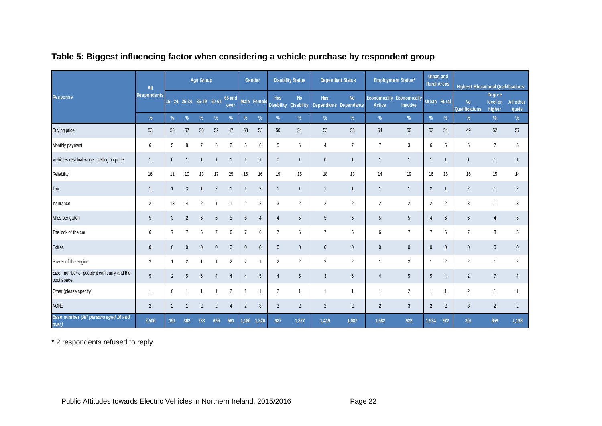|                                                            | All                | <b>Age Group</b> |                           |                 |                 |                 | Gender         |                | <b>Disability Status</b> |                                | <b>Dependant Status</b> |                                    | Employment Status* |                                              | Urban and<br><b>Rural Areas</b> |                | <b>Highest Educational Qualifications</b> |                              |                    |
|------------------------------------------------------------|--------------------|------------------|---------------------------|-----------------|-----------------|-----------------|----------------|----------------|--------------------------|--------------------------------|-------------------------|------------------------------------|--------------------|----------------------------------------------|---------------------------------|----------------|-------------------------------------------|------------------------------|--------------------|
| <b>Response</b>                                            | <b>Respondents</b> |                  | 16 - 24 25-34 35-49 50-64 |                 |                 | 65 and<br>over  |                | Male Female    | Has<br><b>Disability</b> | <b>No</b><br><b>Disability</b> | <b>Has</b>              | <b>No</b><br>Dependants Dependants | Active             | Economically Economically<br><b>Inactive</b> |                                 | Urban Rural    | <b>No</b><br><b>Qualifications</b>        | Degree<br>level or<br>higher | All other<br>quals |
|                                                            | $\%$               | $\%$             | $\frac{9}{6}$             | $\frac{9}{6}$   | $\%$            | $\%$            | $\frac{9}{6}$  | $\%$           | $\%$                     | $\%$                           | $\%$                    | $\%$                               | $\%$               | $\%$                                         | $\%$                            | $\%$           | $\%$                                      | $\%$                         | %                  |
| <b>Buying price</b>                                        | 53                 | 56               | 57                        | 56              | 52              | 47              | 53             | 53             | 50                       | 54                             | 53                      | 53                                 | 54                 | $50\,$                                       | 52                              | 54             | 49                                        | 52                           | 57                 |
| Monthly payment                                            | 6                  | 5                | 8                         | $\overline{7}$  | 6               | $\overline{2}$  | 5              | 6              | 5                        | 6                              | 4                       | $\overline{7}$                     | $\overline{7}$     | 3                                            | 6                               | 5              | 6                                         | $\overline{7}$               | 6                  |
| Vehicles residual value - selling on price                 | $\overline{1}$     | $\mathbf{0}$     |                           | $\overline{1}$  |                 | $\overline{1}$  | $\overline{1}$ |                | $\mathbf{0}$             | $\mathbf{1}$                   | $\mathbf 0$             | $\mathbf{1}$                       | $\mathbf{1}$       | $\mathbf{1}$                                 | $\overline{1}$                  | $\overline{1}$ | $\mathbf{1}$                              | $\overline{1}$               | $\mathbf{1}$       |
| Reliability                                                | 16                 | 11               | 10                        | 13              | 17              | 25              | 16             | 16             | 19                       | 15                             | 18                      | 13                                 | 14                 | 19                                           | 16                              | 16             | 16                                        | 15                           | 14                 |
| Tax                                                        | $\overline{1}$     |                  | 3                         | $\overline{1}$  | $\overline{2}$  | $\overline{1}$  | $\overline{1}$ | $\overline{2}$ | $\overline{1}$           | $\mathbf{1}$                   | $\mathbf{1}$            | $\mathbf{1}$                       | $\mathbf{1}$       | $\mathbf{1}$                                 | $\overline{2}$                  | $\overline{1}$ | $\overline{2}$                            | $\overline{1}$               | $\overline{2}$     |
| Insurance                                                  | $\overline{2}$     | 13               | 4                         | $\overline{2}$  |                 | $\overline{1}$  | $\overline{2}$ | $\overline{2}$ | 3                        | $\overline{2}$                 | $\overline{2}$          | $\overline{2}$                     | $\overline{2}$     | $\overline{2}$                               | $\overline{2}$                  | $\overline{2}$ | 3                                         | $\mathbf{1}$                 | 3                  |
| Miles per gallon                                           | 5                  | $\mathbf{3}$     | $\overline{2}$            | $6\overline{6}$ | $6\phantom{.0}$ | $5\phantom{.0}$ | $6\phantom{.}$ | $\overline{4}$ | $\overline{4}$           | 5 <sup>5</sup>                 | 5                       | 5                                  | 5                  | $5\phantom{.0}$                              | $\overline{4}$                  | $6\phantom{1}$ | $6\overline{6}$                           | $\overline{4}$               | 5 <sup>5</sup>     |
| The look of the car                                        | $6\phantom{1}6$    | $\overline{7}$   | $\overline{7}$            | 5               | $\overline{7}$  | 6               | $\overline{7}$ | 6              | $\overline{7}$           | 6                              | $\overline{7}$          | 5                                  | 6                  | $\overline{7}$                               | $\overline{7}$                  | 6              | $\overline{7}$                            | 8                            | 5                  |
| Extras                                                     | $\overline{0}$     | $\mathbf{0}$     | $\Omega$                  | $\mathbf{0}$    | $\mathbf{0}$    | $\mathbf{0}$    | $\mathbf{0}$   | $\mathbf{0}$   | $\mathbf{0}$             | $\mathbf{0}$                   | $\mathbf{0}$            | $\mathbf{0}$                       | $\mathbf 0$        | $\mathbf 0$                                  | $\mathbf{0}$                    | $\mathbf{0}$   | $\mathbf{0}$                              | $\mathbf 0$                  | $\mathbf{0}$       |
| Pow er of the engine                                       | $\overline{2}$     |                  | $\overline{2}$            |                 |                 | $\overline{2}$  | $\overline{2}$ |                | $\overline{2}$           | $\overline{2}$                 | $\overline{2}$          | $\overline{2}$                     | $\mathbf{1}$       | $\overline{2}$                               | $\overline{1}$                  | $\overline{2}$ | $\overline{2}$                            | $\overline{1}$               | $\overline{2}$     |
| Size - number of people it can carry and the<br>boot space | 5                  | $\overline{2}$   | 5                         | $6\overline{6}$ | $\overline{4}$  | $\overline{4}$  | $\overline{4}$ | 5              | $\overline{4}$           | 5                              | 3                       | $6\phantom{.}6$                    | $\overline{4}$     | $5\phantom{.0}$                              | $5\phantom{.0}$                 | $\overline{4}$ | $\overline{2}$                            | $\overline{7}$               | 4                  |
| Other (please specify)                                     | $\overline{1}$     | $\mathbf 0$      |                           |                 |                 | $\overline{2}$  | $\overline{1}$ |                | $\overline{2}$           | $\mathbf{1}$                   | 1                       | $\overline{1}$                     | $\mathbf{1}$       | $\overline{2}$                               | $\overline{1}$                  | $\overline{1}$ | $\overline{2}$                            | $\overline{1}$               |                    |
| <b>NONE</b>                                                | $\overline{2}$     | $\overline{2}$   |                           | $\overline{2}$  | $\overline{2}$  | $\overline{4}$  | $\overline{2}$ | $\mathbf{3}$   | 3                        | $\overline{2}$                 | $\overline{2}$          | 2                                  | $\overline{2}$     | $\mathbf{3}$                                 | 2                               | $\overline{2}$ | 3                                         | $\overline{2}$               | $\overline{2}$     |
| Base number (All persons aged 16 and<br>over)              | 2,506              | 151              | 362                       | 733             | 699             | 561             | 1,186          | 1,320          | 627                      | 1,877                          | 1,419                   | 1,087                              | 1,582              | 922                                          | 1,534                           | 972            | 301                                       | 659                          | 1,198              |

# **Table 5: Biggest influencing factor when considering a vehicle purchase by respondent group**

\* 2 respondents refused to reply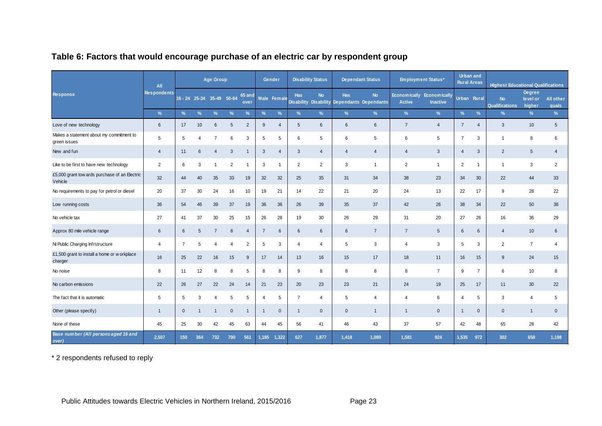|                                                          | All                | <b>Age Group</b> |                           |                |             |                | Gender         |                | <b>Disability Status</b> |                                           | <b>Dependant Status</b> |                                    | <b>Employment Status*</b> |                                              | Urban and<br><b>Rural Areas</b> |                | <b>Highest Educational Qualifications</b> |                                     |                           |
|----------------------------------------------------------|--------------------|------------------|---------------------------|----------------|-------------|----------------|----------------|----------------|--------------------------|-------------------------------------------|-------------------------|------------------------------------|---------------------------|----------------------------------------------|---------------------------------|----------------|-------------------------------------------|-------------------------------------|---------------------------|
| Response                                                 | <b>Respondents</b> |                  | 16 - 24 25-34 35-49 50-64 |                |             | 65 and<br>over |                | Male Female    | <b>Has</b>               | <b>No</b><br><b>Disability Disability</b> | <b>Has</b>              | <b>No</b><br>Dependants Dependants | <b>Active</b>             | Economically Economically<br><b>Inactive</b> | Urban Rural                     |                | <b>No</b><br><b>Qualifications</b>        | <b>Degree</b><br>level or<br>higher | <b>All other</b><br>quals |
|                                                          | $\frac{9}{6}$      | $\frac{9}{6}$    |                           |                | $\%$        | $\%$           | %              | $\%$           | $\frac{9}{6}$            | $\frac{9}{6}$                             | $\frac{9}{6}$           | $\%$                               | %                         | $\%$                                         | $\frac{9}{6}$                   | $\%$           | %                                         | $\frac{9}{6}$                       | $\%$                      |
| Love of new technology                                   | $6\phantom{1}6$    | 17               | 10                        | 6              | 5           | $\overline{2}$ | 9              | $\overline{4}$ | 5                        | 6                                         | 6                       | $6\phantom{1}$                     | $\overline{7}$            | 4                                            | $\overline{7}$                  | 4              | 3                                         | 10                                  | 5                         |
| Makes a statement about my commitment to<br>green issues | 5                  | 5                | 4                         | $\overline{7}$ | 6           | 3              | 5              | 5              | 6                        | 5                                         | 6                       | 5                                  | 6                         | 5                                            | $\overline{7}$                  | 3              | $\mathbf{1}$                              | 8                                   | 6                         |
| New and fun                                              | $\overline{4}$     | 11               | 6                         | $\overline{4}$ | 3           | $\mathbf 1$    | 3              | $\overline{4}$ | 3                        | $\overline{4}$                            | $\overline{4}$          | $\overline{4}$                     | $\overline{4}$            | 3                                            | $\overline{4}$                  | 3              | $\overline{2}$                            | 5                                   | $\overline{4}$            |
| Like to be first to have new technology                  | 2                  | 6                | 3                         |                | 2           | -1             | 3              |                | $\overline{2}$           | $\overline{2}$                            | 3                       | -1                                 | $\overline{2}$            | $\mathbf{1}$                                 | 2                               |                | -1                                        | 3                                   | 2                         |
| £5,000 grant tow ards purchase of an Electric<br>Vehicle | 32                 | 44               | 40                        | 35             | 33          | 19             | 32             | 32             | 25                       | 35                                        | 31                      | 34                                 | 38                        | 23                                           | 34                              | 30             | 22                                        | 44                                  | 33                        |
| No requirements to pay for petrol or diesel              | 20                 | 37               | 30                        | 24             | 16          | 10             | 19             | 21             | 14                       | 22                                        | 21                      | 20                                 | 24                        | 13                                           | 22                              | 17             | 9                                         | 28                                  | 22                        |
| Low running costs                                        | 36                 | 54               | 46                        | 39             | 37          | 19             | 36             | 36             | 26                       | 39                                        | 35                      | 37                                 | 42                        | 26                                           | 38                              | 34             | 22                                        | 50                                  | 38                        |
| No vehicle tax                                           | 27                 | 41               | 37                        | 30             | 25          | 15             | 26             | 28             | 19                       | 30                                        | 26                      | 29                                 | 31                        | 20                                           | 27                              | 26             | 16                                        | 36                                  | 29                        |
| Approx 80 mile vehicle range                             | $6\phantom{1}$     | 6                | 5                         | 7              | 8           | $\overline{4}$ | $\overline{7}$ | 6              | 6                        | 6                                         | 6                       | $\overline{7}$                     | $\overline{7}$            | 5                                            | 6                               | 6              | $\overline{4}$                            | 10 <sup>°</sup>                     | 6                         |
| NI Public Charging Infrstructure                         | $\overline{4}$     | $\overline{7}$   | 5                         |                | 4           | $\overline{2}$ | 5              | 3              | $\overline{4}$           | 4                                         | 5                       | 3                                  | $\overline{4}$            | 3                                            | 5                               | 3              | $\overline{2}$                            | $\overline{7}$                      | 4                         |
| £1,500 grant to install a home or w orkplace<br>charger  | 16                 | 25               | 22                        | 16             | 15          | 9              | 17             | 14             | 13                       | 16                                        | 15                      | 17                                 | 18                        | 11                                           | 16                              | 15             | 9                                         | 24                                  | 15                        |
| No noise                                                 | 8                  | 11               | 12                        | 8              | 8           | 5              | 8              | 8              | 9                        | 8                                         | 8                       | 8                                  | 8                         | $\overline{7}$                               | 9                               | $\overline{7}$ | 6                                         | 10                                  | 8                         |
| No carbon emissions                                      | 22                 | 26               | 27                        | 22             | 24          | 14             | 21             | 23             | 20                       | 23                                        | 23                      | 21                                 | 24                        | 19                                           | 25                              | 17             | 11                                        | 30                                  | 22                        |
| The fact that it is automatic                            | 5                  | 5                | 3                         |                | 5           | 5              | -4             | 5              | $\overline{7}$           | 4                                         | 5                       | $\overline{4}$                     | $\overline{4}$            | 6                                            | 4                               | 5              | 3                                         | $\overline{4}$                      | 5                         |
| Other (please specify)                                   | $\overline{1}$     | $\mathbf{0}$     |                           |                | $\mathbf 0$ | $\mathbf{1}$   | $\overline{1}$ | $\mathbf 0$    | $\overline{1}$           | $\mathbf{0}$                              | $\mathbf 0$             | $\overline{1}$                     | $\overline{1}$            | $\mathbf{0}$                                 | $\overline{1}$                  | $\Omega$       | $\mathbf{0}$                              | $\mathbf{1}$                        | $\mathbf 0$               |
| None of these                                            | 45                 | 25               | 30                        | 42             | 45          | 63             | 44             | 45             | 56                       | 41                                        | 46                      | 43                                 | 37                        | 57                                           | 42                              | 48             | 65                                        | 28                                  | 42                        |
| Base number (All persons aged 16 and<br>over)            | 2,507              | 150              | 364                       | 732            | 700         | 561            | 1,185          | 1,322          | 627                      | 1,877                                     | 1,418                   | 1,089                              | 1,581                     | 924                                          | 1.535                           | 972            | 302                                       | 658                                 | 1,198                     |

# **Table 6: Factors that would encourage purchase of an electric car by respondent group**

\* 2 respondents refused to reply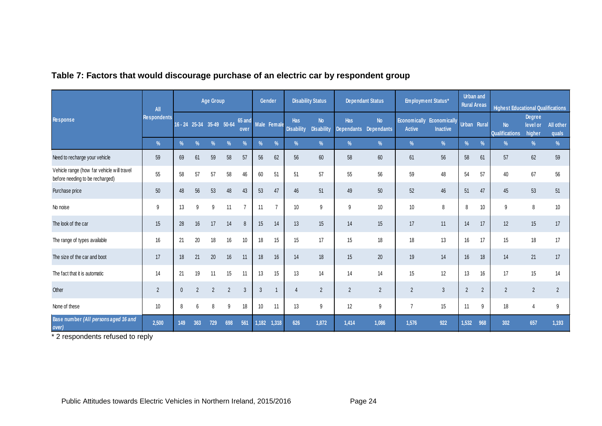|                                                                               | All                |              |                           | Age Group      |                |                | Gender       |                | <b>Disability Status</b>        |                                | <b>Dependant Status</b>  |                         | <b>Employment Status*</b>            |                                 | Urban and<br><b>Rural Areas</b> |                | <b>Highest Educational Qualifications</b> |                                     |                           |
|-------------------------------------------------------------------------------|--------------------|--------------|---------------------------|----------------|----------------|----------------|--------------|----------------|---------------------------------|--------------------------------|--------------------------|-------------------------|--------------------------------------|---------------------------------|---------------------------------|----------------|-------------------------------------------|-------------------------------------|---------------------------|
| <b>Response</b>                                                               | <b>Respondents</b> |              | 16 - 24 25-34 35-49 50-64 |                |                | 65 and<br>over |              | Male Female    | <b>Has</b><br><b>Disability</b> | <b>No</b><br><b>Disability</b> | <b>Has</b><br>Dependants | <b>No</b><br>Dependants | <b>Economically</b><br><b>Active</b> | Economically<br><b>Inactive</b> | Urban Rural                     |                | <b>No</b><br><b>Qualifications</b>        | <b>Degree</b><br>level or<br>higher | <b>All other</b><br>quals |
|                                                                               | $\%$               | $\%$         | $\%$                      | $\%$           | $\frac{0}{0}$  | $\%$           | $\%$         | $\frac{9}{6}$  | $\frac{9}{6}$                   | %                              | $\frac{9}{6}$            | $\%$                    | %                                    | $\%$                            | $\%$                            | $\%$           | %                                         | $\frac{9}{6}$                       | $\%$                      |
| Need to recharge your vehicle                                                 | 59                 | 69           | 61                        | 59             | 58             | 57             | 56           | 62             | 56                              | 60                             | 58                       | 60                      | 61                                   | 56                              | 58                              | 61             | 57                                        | 62                                  | 59                        |
| Vehicle range (how far vehicle will travel<br>before needing to be recharged) | 55                 | 58           | 57                        | 57             | 58             | 46             | 60           | 51             | 51                              | 57                             | 55                       | 56                      | 59                                   | 48                              | 54                              | 57             | 40                                        | 67                                  | 56                        |
| Purchase price                                                                | 50                 | 48           | 56                        | 53             | 48             | 43             | 53           | 47             | 46                              | 51                             | 49                       | 50                      | 52                                   | 46                              | 51                              | 47             | 45                                        | 53                                  | 51                        |
| No noise                                                                      | 9                  | 13           | 9                         | 9              | 11             | $\overline{7}$ | 11           | $\overline{7}$ | 10                              | 9                              | 9                        | 10                      | 10 <sup>10</sup>                     | 8                               | 8                               | 10             | 9                                         | 8                                   | 10                        |
| The look of the car                                                           | 15                 | 28           | 16                        | 17             | 14             | 8              | 15           | 14             | 13                              | 15                             | 14                       | 15                      | 17                                   | 11                              | 14                              | 17             | 12                                        | 15                                  | 17                        |
| The range of types available                                                  | 16                 | 21           | 20                        | 18             | 16             | 10             | 18           | 15             | 15                              | 17                             | 15                       | 18                      | 18                                   | 13                              | 16                              | 17             | 15                                        | 18                                  | 17                        |
| The size of the car and boot                                                  | 17                 | 18           | 21                        | 20             | 16             | 11             | 18           | 16             | 14                              | 18                             | 15                       | 20                      | 19                                   | 14                              | 16                              | 18             | 14                                        | 21                                  | 17                        |
| The fact that it is automatic                                                 | 14                 | 21           | 19                        | 11             | 15             | 11             | 13           | 15             | 13                              | 14                             | 14                       | 14                      | 15                                   | 12                              | 13                              | 16             | 17                                        | 15                                  | 14                        |
| Other                                                                         | $\overline{2}$     | $\mathbf{0}$ | $\overline{2}$            | $\overline{2}$ | $\overline{2}$ | $\mathfrak{Z}$ | $\mathbf{3}$ |                | $\overline{4}$                  | 2                              | $\overline{2}$           | $\overline{2}$          | $\overline{2}$                       | $\mathbf{3}$                    | $\overline{2}$                  | $\overline{2}$ | $\overline{2}$                            | $\overline{2}$                      | 2                         |
| None of these                                                                 | 10 <sup>10</sup>   | 8            | 6                         | 8              | 9              | 18             | 10           | 11             | 13                              | 9                              | 12                       | 9                       | $\overline{7}$                       | 15                              | 11                              | 9              | 18                                        | $\overline{4}$                      | 9                         |
| Base number (All persons aged 16 and<br>over)                                 | 2,500              | 149          | 363                       | 729            | 698            | 561            | 1,182        | 1,318          | 626                             | 1,872                          | 1,414                    | 1,086                   | 1,576                                | 922                             | 1,532                           | 968            | 302                                       | 657                                 | 1,193                     |

#### **Table 7: Factors that would discourage purchase of an electric car by respondent group**

\* 2 respondents refused to reply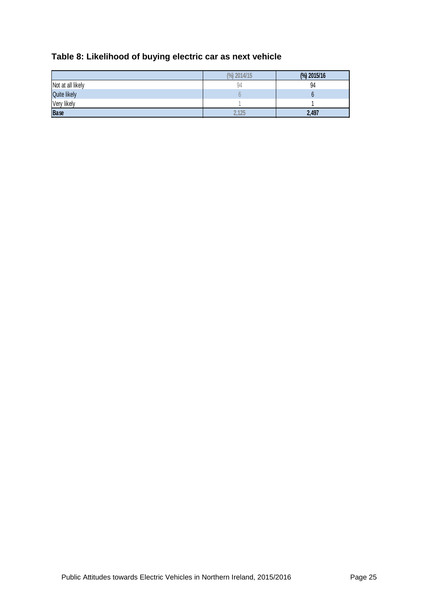| Table 8: Likelihood of buying electric car as next vehicle |  |
|------------------------------------------------------------|--|
|------------------------------------------------------------|--|

|                     | 2014/15<br>$\binom{0}{0}$ | (%) 2015/16 |
|---------------------|---------------------------|-------------|
| Not at all likely   | 94                        | 94          |
| <b>Quite likely</b> |                           |             |
| Very likely         |                           |             |
| <b>Base</b>         | 2.125                     | 2,497       |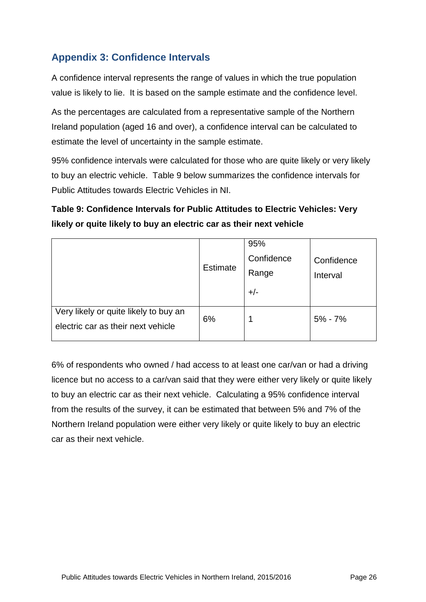# **Appendix 3: Confidence Intervals**

A confidence interval represents the range of values in which the true population value is likely to lie. It is based on the sample estimate and the confidence level.

As the percentages are calculated from a representative sample of the Northern Ireland population (aged 16 and over), a confidence interval can be calculated to estimate the level of uncertainty in the sample estimate.

95% confidence intervals were calculated for those who are quite likely or very likely to buy an electric vehicle. Table 9 below summarizes the confidence intervals for Public Attitudes towards Electric Vehicles in NI.

# **Table 9: Confidence Intervals for Public Attitudes to Electric Vehicles: Very likely or quite likely to buy an electric car as their next vehicle**

|                                                                             | Estimate | 95%<br>Confidence<br>Range<br>$+/-$ | Confidence<br>Interval |
|-----------------------------------------------------------------------------|----------|-------------------------------------|------------------------|
| Very likely or quite likely to buy an<br>electric car as their next vehicle | 6%       |                                     | $5\% - 7\%$            |

6% of respondents who owned / had access to at least one car/van or had a driving licence but no access to a car/van said that they were either very likely or quite likely to buy an electric car as their next vehicle. Calculating a 95% confidence interval from the results of the survey, it can be estimated that between 5% and 7% of the Northern Ireland population were either very likely or quite likely to buy an electric car as their next vehicle.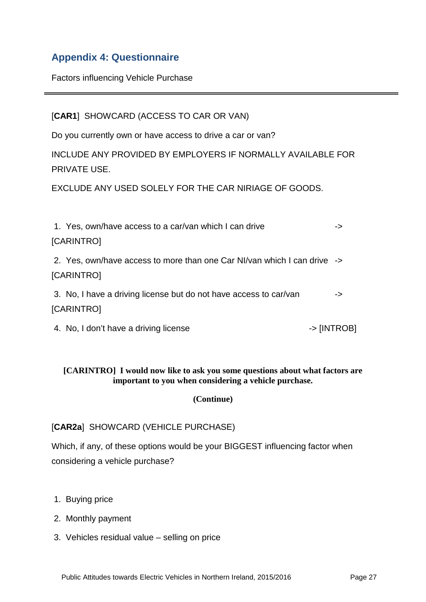# **Appendix 4: Questionnaire**

Factors influencing Vehicle Purchase

[**CAR1**] SHOWCARD (ACCESS TO CAR OR VAN)

Do you currently own or have access to drive a car or van?

INCLUDE ANY PROVIDED BY EMPLOYERS IF NORMALLY AVAILABLE FOR PRIVATE USE.

EXCLUDE ANY USED SOLELY FOR THE CAR NIRIAGE OF GOODS.

| 1. Yes, own/have access to a car/van which I can drive                                 | ->          |
|----------------------------------------------------------------------------------------|-------------|
| [CARINTRO]                                                                             |             |
| 2. Yes, own/have access to more than one Car NI/van which I can drive -><br>[CARINTRO] |             |
| 3. No, I have a driving license but do not have access to car/van<br>[CARINTRO]        | ->          |
| 4. No, I don't have a driving license                                                  | -> [INTROB] |

#### **[CARINTRO] I would now like to ask you some questions about what factors are important to you when considering a vehicle purchase.**

#### **(Continue)**

#### [**CAR2a**] SHOWCARD (VEHICLE PURCHASE)

Which, if any, of these options would be your BIGGEST influencing factor when considering a vehicle purchase?

- 1. Buying price
- 2. Monthly payment
- 3. Vehicles residual value selling on price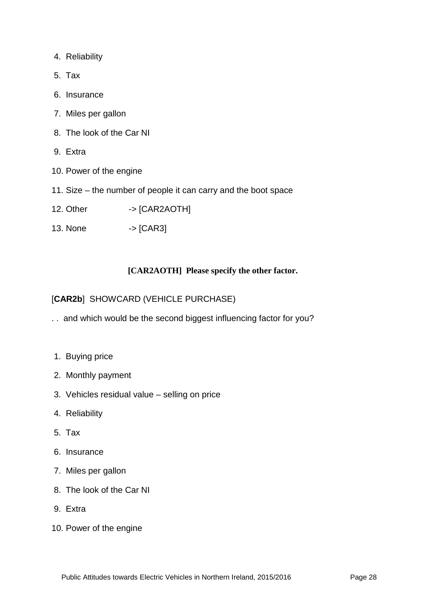- 4. Reliability
- 5. Tax
- 6. Insurance
- 7. Miles per gallon
- 8. The look of the Car NI
- 9. Extra
- 10. Power of the engine
- 11. Size the number of people it can carry and the boot space
- 12. Other -> [CAR2AOTH]
- 13. None -> [CAR3]

#### **[CAR2AOTH] Please specify the other factor.**

[**CAR2b**] SHOWCARD (VEHICLE PURCHASE)

- . . and which would be the second biggest influencing factor for you?
- 1. Buying price
- 2. Monthly payment
- 3. Vehicles residual value selling on price
- 4. Reliability
- 5. Tax
- 6. Insurance
- 7. Miles per gallon
- 8. The look of the Car NI
- 9. Extra
- 10. Power of the engine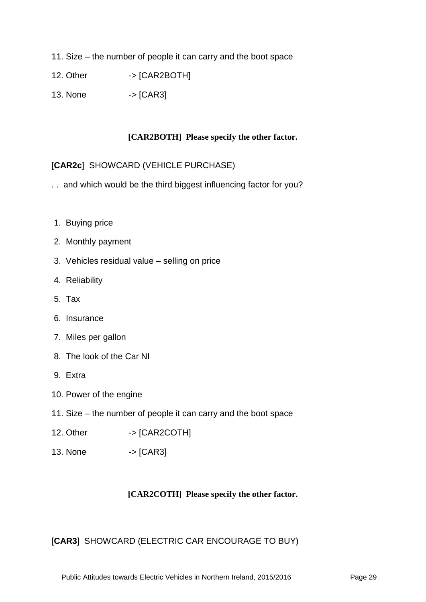- 11. Size the number of people it can carry and the boot space
- 12. Other -> [CAR2BOTH]
- 13. None  $\rightarrow$  [CAR3]

#### **[CAR2BOTH] Please specify the other factor.**

#### [**CAR2c**] SHOWCARD (VEHICLE PURCHASE)

- . . and which would be the third biggest influencing factor for you?
- 1. Buying price
- 2. Monthly payment
- 3. Vehicles residual value selling on price
- 4. Reliability
- 5. Tax
- 6. Insurance
- 7. Miles per gallon
- 8. The look of the Car NI
- 9. Extra
- 10. Power of the engine
- 11. Size the number of people it can carry and the boot space
- 12. Other -> [CAR2COTH]
- 13. None -> [CAR3]

#### **[CAR2COTH] Please specify the other factor.**

#### [**CAR3**] SHOWCARD (ELECTRIC CAR ENCOURAGE TO BUY)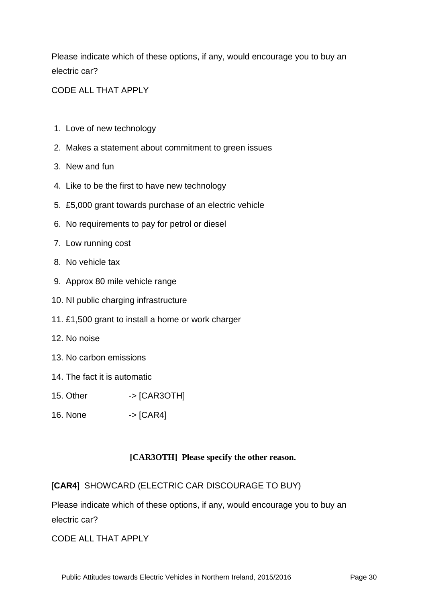Please indicate which of these options, if any, would encourage you to buy an electric car?

CODE ALL THAT APPLY

- 1. Love of new technology
- 2. Makes a statement about commitment to green issues
- 3. New and fun
- 4. Like to be the first to have new technology
- 5. £5,000 grant towards purchase of an electric vehicle
- 6. No requirements to pay for petrol or diesel
- 7. Low running cost
- 8. No vehicle tax
- 9. Approx 80 mile vehicle range
- 10. NI public charging infrastructure
- 11. £1,500 grant to install a home or work charger
- 12. No noise
- 13. No carbon emissions
- 14. The fact it is automatic
- 15. Other -> [CAR3OTH]
- 16. None  $\rightarrow$  [CAR4]

#### **[CAR3OTH] Please specify the other reason.**

[**CAR4**] SHOWCARD (ELECTRIC CAR DISCOURAGE TO BUY)

Please indicate which of these options, if any, would encourage you to buy an electric car?

CODE ALL THAT APPLY